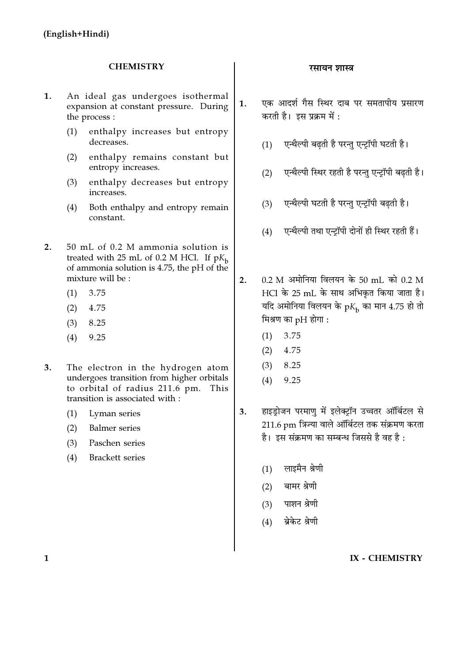### **CHEMISTRY**

- 1. An ideal gas undergoes isothermal expansion at constant pressure. During the process:
	- enthalpy increases but entropy  $(1)$ decreases.
	- enthalpy remains constant but  $(2)$ entropy increases.
	- enthalpy decreases but entropy  $(3)$ increases.
	- Both enthalpy and entropy remain  $(4)$ constant.
- $2<sup>1</sup>$ 50 mL of 0.2 M ammonia solution is treated with 25 mL of 0.2 M HCl. If  $pK_h$ of ammonia solution is 4.75, the pH of the mixture will be:
	- 3.75  $(1)$
	- 4.75  $(2)$
	- $(3)$ 8.25
	- $(4)$ 9.25
- $3.$ The electron in the hydrogen atom undergoes transition from higher orbitals to orbital of radius 211.6 pm. This transition is associated with :
	- Lyman series  $(1)$
	- **Balmer** series  $(2)$
	- $(3)$ Paschen series
	- **Brackett** series  $(4)$

#### रसायन शास्त्र

- एक आदर्श गैस स्थिर दाब पर समतापीय प्रसारण  $1.$ करती है। इस प्रक्रम में:
	- एन्थैल्पी बढती है परन्तु एन्ट्रॉपी घटती है।  $(1)$
	- एन्थैल्पी स्थिर रहती है परन्त एन्टॉपी बढती है।  $(2)$
	- एन्थैल्पी घटती है परन्तु एन्ट्रॉपी बढती है।  $(3)$
	- एन्थैल्पी तथा एन्ट्रॉपी दोनों ही स्थिर रहती हैं।  $(4)$
- $0.2$  M अमोनिया विलयन के 50 mL को 0.2 M  $2.$ HCl के 25 mL के साथ अभिकृत किया जाता है। यदि अमोनिया विलयन के  $pK_{\rm b}$  का मान 4.75 हो तो मिश्रण का pH होगा :
	- 3.75  $(1)$
	- 4.75  $(2)$
	- $(3)$ 8.25
	- $(4)$ 9.25
- हाइडोजन परमाण में इलेक्टॉन उच्चतर ऑर्बिटल से  $\overline{3}$ 211.6 pm त्रिज्या वाले ऑर्बिटल तक संक्रमण करता है। इस संक्रमण का सम्बन्ध जिससे है वह है:
	- लाइमैन श्रेणी  $(1)$
	- बामर श्रेणी  $(2)$
	- पाशन श्रेणी  $(3)$
	- बेकेट श्रेणी  $(4)$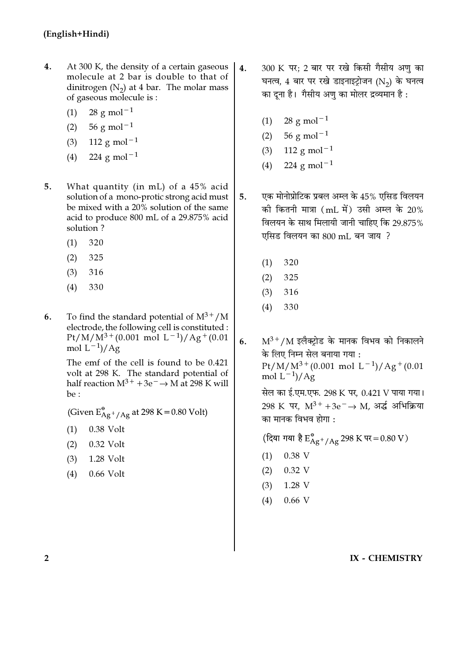- $4.$ At 300 K, the density of a certain gaseous molecule at 2 bar is double to that of dinitrogen  $(N_2)$  at 4 bar. The molar mass of gaseous molecule is :
	- $28$  g mol<sup>-1</sup>  $(1)$
	- $56 \text{ g mol}^{-1}$  $(2)$
	- $(3)$ 112 g mol<sup>-1</sup>
	- 224 g mol<sup> $-1$ </sup>  $(4)$
- $5<sub>1</sub>$ What quantity (in mL) of a 45% acid solution of a mono-protic strong acid must be mixed with a 20% solution of the same acid to produce 800 mL of a 29.875% acid solution?
	- $(1)$ 320
	- $(2)$ 325
	- $(3)$ 316
	- $(4)$ 330
- To find the standard potential of  $M^{3+}/M$ 6. electrode, the following cell is constituted :  $Pt/M/M^{3+}(0.001 \text{ mol L}^{-1})/Ag^{+}(0.01$ mol  $L^{-1}$ )/Ag

The emf of the cell is found to be 0.421 volt at 298 K. The standard potential of half reaction  $M^{3+} + 3e^ \rightarrow$  M at 298 K will  $be:$ 

(Given  $E_{\rm Ag^{+}/Ag}^{\rm e}$  at 298 K = 0.80 Volt)

- 0.38 Volt  $(1)$
- $(2)$ 0.32 Volt
- $(3)$ 1.28 Volt
- $(4)$ 0.66 Volt
- 300 K पर; 2 बार पर रखे किसी गैसीय अणु का  $\overline{4}$ . घनत्व, 4 बार पर रखे डाइनाइट्रोजन (N2) के घनत्व का दूना है। गैसीय अणु का मोलर द्रव्यमान है :
	- $28 \text{ g mol}^{-1}$  $(1)$
	- $56 \text{ g mol}^{-1}$  $(2)$
	- 112 g mol<sup> $-1$ </sup>  $(3)$
	- 224 g mol<sup> $-1$ </sup>  $(4)$
- एक मोनोप्रोटिक प्रबल अम्ल के 45% एसिड विलयन  $5<sub>1</sub>$ की कितनी मात्रा (mL में) उसी अम्ल के 20% विलयन के साथ मिलायी जानी चाहिए कि 29.875% एसिड विलयन का 800 mL बन जाय ?
	- $(1)$ 320
	- $(2)$ 325
	- 316  $(3)$
	- 330  $(4)$
- $M^{3+}/M$  इलैक्टोड के मानक विभव को निकालने  $6<sup>1</sup>$ के लिए निम्न सेल बनाया गया :  $Pt/M/M^{3+}(0.001 \text{ mol } L^{-1})/Ag^{+}(0.01$ mol  $L^{-1}$ )/Ag

सेल का ई.एम.एफ. 298 K पर, 0.421 V पाया गया। 298 K पर,  $M^{3+} + 3e^- \rightarrow M$ , अर्द्ध अभिक्रिया का मानक विभव होगा :

(दिया गया है $\text{E}^{\text{e}}_{\text{Ag}^{+}/\text{Ag}}$ 298 K पर = 0.80 V)

- 0.38 V  $(1)$
- $0.32$  V  $(2)$
- $(3)$  $1.28$  V
- $0.66$  V  $(4)$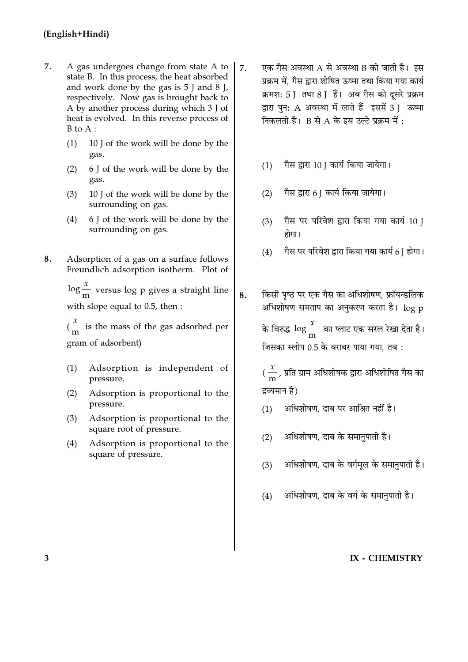- 7. A gas undergoes change from state A to state B. In this process, the heat absorbed and work done by the gas is  $5$  J and  $8$  J, respectively. Now gas is brought back to A by another process during which 3 J of heat is evolved. In this reverse process of  $B$  to  $A$  :
	- 10 J of the work will be done by the  $(1)$ gas.
	- 6 J of the work will be done by the  $(2)$ gas.
	- 10 J of the work will be done by the  $(3)$ surrounding on gas.
	- 6 J of the work will be done by the  $(4)$ surrounding on gas.
- 8. Adsorption of a gas on a surface follows Freundlich adsorption isotherm. Plot of

 $\log \frac{x}{m}$  versus log p gives a straight line with slope equal to 0.5, then :

8.

 $\left(\frac{x}{m}\right)$  is the mass of the gas adsorbed per gram of adsorbent)

- Adsorption is independent of  $(1)$ pressure.
- Adsorption is proportional to the  $(2)$ pressure.
- Adsorption is proportional to the  $(3)$ square root of pressure.
- Adsorption is proportional to the  $(4)$ square of pressure.
- एक गैस अवस्था A से अवस्था B को जाती है। इस  $\overline{7}$ . प्रक्रम में, गैस द्वारा शोषित ऊष्मा तथा किया गया कार्य क्रमश: 5 ] तथा 8 ] हैं। अब गैस को दूसरे प्रक्रम द्वारा पन: A अवस्था में लाते हैं इसमें 3 | ऊष्मा निकलती है।  $B$  से  $A$  के इस उल्टे प्रक्रम में:
	- गैस द्वारा 10। कार्य किया जायेगा।  $(1)$
	- गैस द्वारा 6 J कार्य किया जायेगा।  $(2)$
	- गैस पर परिवेश द्वारा किया गया कार्य 10 I  $(3)$ होगा।
	- गैस पर परिवेश द्वारा किया गया कार्य 6 ] होगा।  $(4)$
	- किसी पष्ठ पर एक गैस का अधिशोषण. फ्रॉयन्डलिक अधिशोषण समताप का अनुकरण करता है। log p के विरुद्ध  $\log \frac{x}{m}$  का प्लाट एक सरल रेखा देता है। जिसका स्लोप 0.5 के बराबर पाया गया, तब:

(  $\frac{x}{m}$  , प्रति ग्राम अधिशोषक द्वारा अधिशोषित गैस का द्रव्यमान है)

- अधिशोषण, दाब पर आश्रित नहीं है।  $(1)$
- अधिशोषण, दाब के समानुपाती है।  $(2)$
- अधिशोषण, दाब के वर्गमल के समानपाती है।  $(3)$
- अधिशोषण, दाब के वर्ग के समानुपाती है।  $(4)$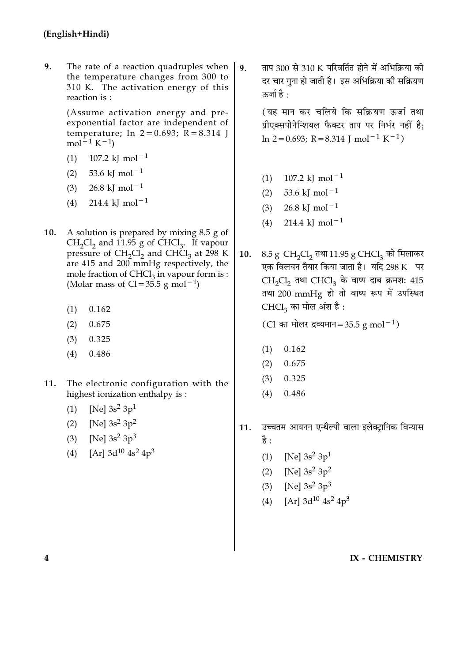9. The rate of a reaction quadruples when the temperature changes from 300 to 310 K. The activation energy of this reaction is :

> (Assume activation energy and preexponential factor are independent of temperature;  $\ln 2 = 0.693$ ;  $R = 8.314$  J mol<sup>-1</sup> K<sup>-1</sup>)

- 107.2 kJ mol<sup>-1</sup>  $(1)$
- 53.6 kJ mol<sup>-1</sup>  $(2)$
- 26.8 kJ mol<sup> $-1$ </sup>  $(3)$
- 214.4 kJ mol<sup> $-1$ </sup>  $(4)$
- 10. A solution is prepared by mixing  $8.5$  g of  $CH_2Cl_2$  and 11.95 g of CHCl<sub>3</sub>. If vapour pressure of CH<sub>2</sub>Cl<sub>2</sub> and CHCl<sub>3</sub> at 298 K are  $415$  and  $200$  mmHg respectively, the mole fraction of  $CHCl<sub>3</sub>$  in vapour form is : (Molar mass of Cl =  $35.5$  g mol<sup>-1</sup>)
	- $(1)$ 0.162
	- $(2)$ 0.675
	- $(3)$ 0.325
	- 0.486  $(4)$
- The electronic configuration with the 11. highest ionization enthalpy is:
	- (1) [Ne]  $3s^2 3p^1$
	- [Ne]  $3s^2 3p^2$  $(2)$
	- (3) [Ne]  $3s^2 3p^3$
	- (4) [Ar]  $3d^{10}$  4s<sup>2</sup> 4p<sup>3</sup>

ताप 300 से 310 K परिवर्तित होने में अभिक्रिया की  $\mathbf{q}$ . दर चार गना हो जाती है। इस अभिक्रिया की सक्रियण ऊर्जा है:

> (यह मान कर चलिये कि सक्रियण ऊर्जा तथा प्रीएक्सपोनेन्शियल फैक्टर ताप पर निर्भर नहीं है:  $\ln 2 = 0.693$ ; R = 8.314 J mol<sup>-1</sup> K<sup>-1</sup>)

- 107.2 kJ mol<sup>-1</sup>  $(1)$
- $(2)$ 53.6 kJ mol<sup> $-1$ </sup>
- 26.8 kJ mol<sup>-1</sup>  $(3)$
- 214.4 kJ mol<sup> $-1$ </sup>  $(4)$
- 8.5 g CH<sub>2</sub>Cl<sub>2</sub> तथा 11.95 g CHCl<sub>3</sub> को मिलाकर 10. एक विलयन तैयार किया जाता है। यदि 298 K पर  $CH<sub>2</sub>Cl<sub>2</sub>$  तथा  $CHCl<sub>3</sub>$  के वाष्प दाब क्रमश: 415 तथा 200 mmHg हो तो वाष्प रूप में उपस्थित CHCl<sub>3</sub> का मोल अंश है:

(Cl का मोलर द्रव्यमान=35.5 g mol<sup>-1</sup>)

- $(1)$ 0.162
- $(2)$ 0.675
- 0.325  $(3)$
- 0.486  $(4)$
- उच्चतम आयनन एन्थैल्पी वाला इलेक्ट्रानिक विन्यास 11. है :
	- $(1)$ [Ne]  $3s^2 3p^1$
	- [Ne]  $3s^2 3p^2$  $(2)$
	- (3) [Ne]  $3s^2 3p^3$
	- [Ar]  $3d^{10}$  4s<sup>2</sup> 4p<sup>3</sup>  $(4)$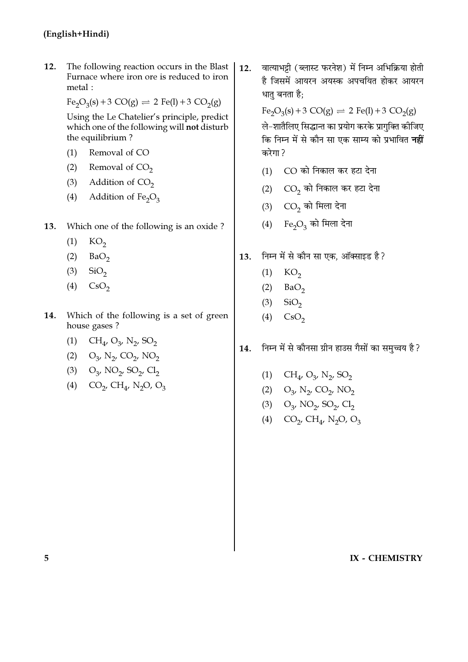12. The following reaction occurs in the Blast Furnace where iron ore is reduced to iron metal:

$$
\text{Fe}_2\text{O}_3(s) + 3\text{ CO}(g) \rightleftharpoons 2\text{ Fe}(l) + 3\text{ CO}_2(g)
$$

Using the Le Chatelier's principle, predict which one of the following will not disturb the equilibrium?

- $(1)$ Removal of CO
- $(2)$ Removal of  $CO<sub>2</sub>$
- $(3)$ Addition of  $CO<sub>2</sub>$
- Addition of  $Fe<sub>2</sub>O<sub>3</sub>$  $(4)$
- Which one of the following is an oxide? 13.
	- $KO<sub>2</sub>$  $(1)$
	- $(2)$  $BaO<sub>2</sub>$
	- $(3)$  $SiO<sub>2</sub>$
	- $(4)$  $\text{CsO}_2$
- Which of the following is a set of green 14. house gases?
	- (1)  $CH_4$ ,  $O_3$ ,  $N_2$ ,  $SO_2$
	- (2)  $O_3$ , N<sub>2</sub>, CO<sub>2</sub>, NO<sub>2</sub>
	- (3)  $O_3$ , NO<sub>2</sub>, SO<sub>2</sub>, Cl<sub>2</sub>
	- (4)  $CO_2$ ,  $CH_4$ , N<sub>2</sub>O, O<sub>3</sub>

वात्याभट्टी (ब्लास्ट फरनेश) में निम्न अभिक्रिया होती  $12.$ है जिसमें आयरन अयस्क अपचयित होकर आयरन धातु बनता है;

Fe<sub>2</sub>O<sub>3</sub>(s) + 3 CO(g)  $\Rightarrow$  2 Fe(l) + 3 CO<sub>2</sub>(g)

ले-शातैलिए सिद्धान्त का प्रयोग करके प्रागक्ति कीजिए कि निम्न में से कौन सा एक साम्य को प्रभावित **नहीं** करेगा?

- $(1)$  CO को निकाल कर हटा देना
- $(2)$   $CO<sub>2</sub>$  को निकाल कर हटा देना
- (3)  $CO<sub>2</sub>$  को मिला देना
- (4) Fe<sub>2</sub>O<sub>3</sub> को मिला देना
- निम्न में से कौन सा एक. ऑक्साइड है? 13.
	- $(1)$  KO<sub>2</sub>
	- $(2)$  $BaO<sub>2</sub>$
	- $(3)$  $SiO<sub>2</sub>$
	- $\text{CsO}_2$  $(4)$
- निम्न में से कौनसा ग्रीन हाउस गैसों का समुच्चय है ? 14.
	- (1)  $CH_{4}$ ,  $O_{3}$ ,  $N_{2}$ ,  $SO_{2}$
	- (2)  $O_{3'} N_2$ ,  $CO_2$ ,  $NO_2$
	- (3)  $O_3$ , NO<sub>2</sub>, SO<sub>2</sub>, Cl<sub>2</sub>
	- (4)  $CO_2$ ,  $CH_4$ , N<sub>2</sub>O, O<sub>3</sub>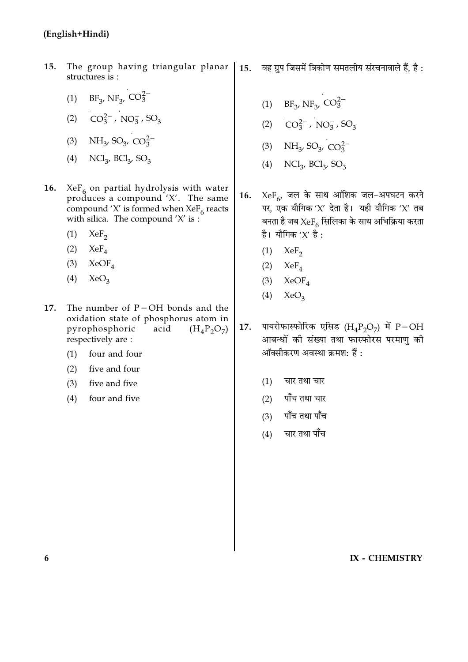### (English+Hindi)

- 15. The group having triangular planar structures is:
	- (1) BF<sub>3</sub>, NF<sub>3</sub>, CO<sub>3</sub><sup>-</sup>
	- (2)  $CO_3^{2-}$ , NO<sub>3</sub>, SO<sub>3</sub>
	- (3) NH<sub>3</sub>, SO<sub>3</sub>, CO<sub>3</sub><sup>-</sup>
	- (4)  $NCl_{3}$ ,  $BCl_{3}$ ,  $SO_{3}$
- **16.**  $XeF_6$  on partial hydrolysis with water produces a compound 'X'. The same compound 'X' is formed when  $XeF_6$  reacts with silica. The compound  $'X'$  is :
	- $(1)$  $XeF_2$
	- $(2)$  $XeF_{A}$
	- $(3)$  XeOF<sub>4</sub>
	- $(4)$  $XeO<sub>3</sub>$
- The number of  $P-OH$  bonds and the 17. oxidation state of phosphorus atom in pyrophosphoric acid  $(H_4P_2O_7)$ respectively are:
	- $(1)$ four and four
	- $(2)$ five and four
	- $(3)$ five and five
	- four and five  $(4)$

वह ग्रुप जिसमें त्रिकोण समतलीय संरचनावाले हैं, है :  $15.$ 

- (1) BF<sub>3</sub>, NF<sub>3</sub>, CO<sub>3</sub><sup>-</sup>
- (2)  $CO_3^{2-}$ , NO<sub>3</sub>, SO<sub>3</sub>
- (3) NH<sub>3</sub>, SO<sub>3</sub>, CO<sub>3</sub><sup>2</sup>
- (4)  $NCl_{3}$ ,  $BCl_{3}$ ,  $SO_{3}$
- 16.  $XeF_{6}$ , जल के साथ आंशिक जल-अपघटन करने पर, एक यौगिक 'X' देता है। यही यौगिक 'X' तब बनता है जब  $XeF_{\epsilon}$  सिलिका के साथ अभिक्रिया करता है। यौगिक ' $X'$  है:
	- $(1)$  $XeF_{2}$
	- (2)  $XeF_4$
	- $(3)$  $XeOF<sub>4</sub>$
	- $(4)$  $XeO<sub>3</sub>$
- पायरोफास्फोरिक एसिड  $(H_4P_2O_7)$  में  $P-OH$ 17. आबन्धों की संख्या तथा फास्फोरस परमाण की ऑक्सीकरण अवस्था क्रमश: हैं:
	- $(1)$ चार तथा चार
	- पाँच तथा चार  $(2)$
	- पाँच तथा पाँच  $(3)$
	- $(4)$ चार तथा पाँच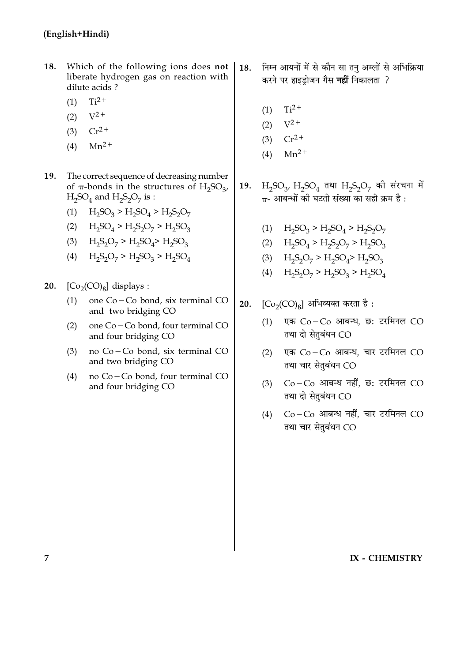- 18. Which of the following ions does not liberate hydrogen gas on reaction with dilute acids?
	- $Ti<sup>2+</sup>$  $(1)$
	- $V^{2+}$  $(2)$
	- (3)  $Cr^{2+}$
	- $Mn^2$ +  $(4)$
- 19. The correct sequence of decreasing number of  $\pi$ -bonds in the structures of H<sub>2</sub>SO<sub>2</sub>,  $H_2SO_4$  and  $H_2S_2O_7$  is :
	- (1)  $H_2SO_3 > H_2SO_4 > H_2S_2O_7$
	- (2)  $H_2SO_4 > H_2S_2O_7 > H_2SO_3$
	- (3)  $H_2S_2O_7 > H_2SO_4 > H_2SO_3$
	- (4)  $H_2S_2O_7 > H_2SO_3 > H_2SO_4$
- 20.  $[Co<sub>2</sub>(CO)<sub>8</sub>]$  displays :
	- $(1)$ one Co-Co bond, six terminal CO and two bridging CO
	- one Co-Co bond, four terminal CO  $(2)$ and four bridging CO
	- $(3)$ no Co-Co bond, six terminal CO and two bridging CO
	- no Co-Co bond, four terminal CO  $(4)$ and four bridging CO
- निम्न आयनों में से कौन सा तन अम्लों से अभिक्रिया 18. करने पर हाइड़ोजन गैस **नहीं** निकालता ?
	- $Ti<sup>2+</sup>$  $(1)$
	- $(2)$  $V^2$ +
	- $Cr^{2+}$  $(3)$
	- $Mn^2$ <sup>+</sup>  $(4)$
- $H_2SO_3$ ,  $H_2SO_4$  तथा  $H_2S_2O_7$  की संरचना में **19.**  $\pi$ - आबन्धों की घटती संख्या का सही क्रम है :
	- (1)  $H_2SO_3 > H_2SO_4 > H_2S_2O_7$
	- (2)  $H_2SO_4 > H_2S_2O_7 > H_2SO_3$
	- (3)  $H_2S_2O_7 > H_2SO_4 > H_2SO_3$
	- (4)  $H_2S_2O_7 > H_2SO_3 > H_2SO_4$
- $\text{[Co}_{2}\text{(CO)}_{8}\text{]}$  अभिव्यक्त करता है: 20.
	- एक Co-Co आबन्ध, छ: टरमिनल CO  $(1)$ तथा दो सेतुबंधन CO
	- एक Co-Co आबन्ध, चार टरमिनल CO  $(2)$ तथा चार सेतुबंधन CO
	- $Co-Co$  आबन्ध नहीं, छ: टरमिनल  $CO$  $(3)$ तथा दो सेतुबंधन CO
	- $Co-Co$  आबन्ध नहीं, चार टरमिनल  $CO$  $(4)$ तथा चार सेतुबंधन CO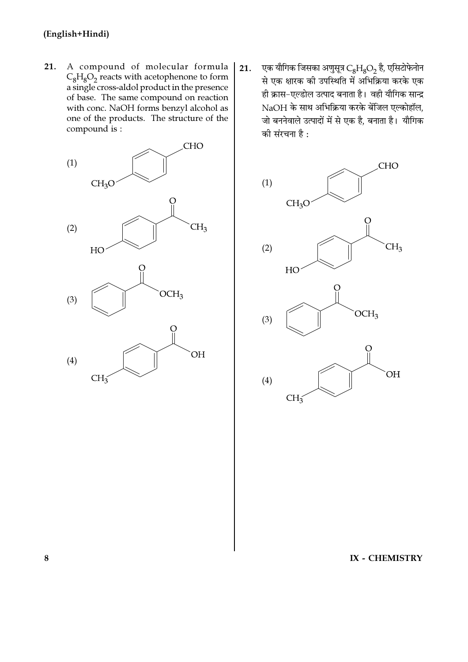21. A compound of molecular formula  $C_8H_8O_2$  reacts with acetophenone to form a single cross-aldol product in the presence of base. The same compound on reaction with conc. NaOH forms benzyl alcohol as one of the products. The structure of the compound is :



एक यौगिक जिसका अणुसूत्र  $C_8H_8O_2$  है, एसिटोफेनोन  $21.$ से एक क्षारक की उपस्थिति में अभिक्रिया करके एक ही क्रास-एल्डोल उत्पाद बनाता है। वही यौगिक सान्द्र NaOH के साथ अभिक्रिया करके बेंजिल एल्कोहॉल, जो बननेवाले उत्पादों में से एक है, बनाता है। यौगिक की संरचना है :



IX - CHEMISTRY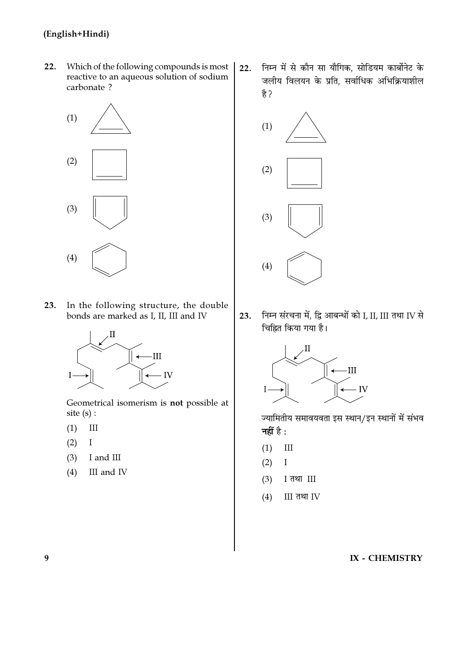## (English+Hindi)

 $22.$ Which of the following compounds is most reactive to an aqueous solution of sodium carbonate ?



23. In the following structure, the double bonds are marked as I, II, III and IV



Geometrical isomerism is not possible at site  $(s)$  :

- $III$  $(1)$
- $(2)$  $\rm I$
- I and III  $(3)$
- $(4)$ III and IV

निम्न में से कौन सा यौगिक. सोडियम कार्बोनेट के  $22.$ जलीय विलयन के प्रति, सर्वाधिक अभिक्रियाशील है?



निम्न संरचना में, द्वि आबन्धों को I, II, III तथा IV से 23. चिह्नित किया गया है।



ज्यामितीय समावयवता इस स्थान/इन स्थानों में संभव नहीं है $\colon$ 

- $III$  $(1)$
- $(2)$  $\rm I$
- I तथा III  $(3)$
- III तथा IV  $(4)$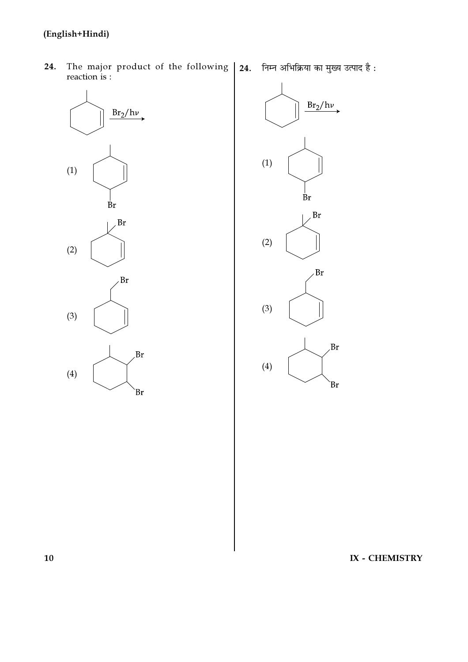## (English+Hindi)

- The major product of the following | 24. निम्न अभिक्रिया का मुख्य उत्पाद है: 24. reaction is :
	-



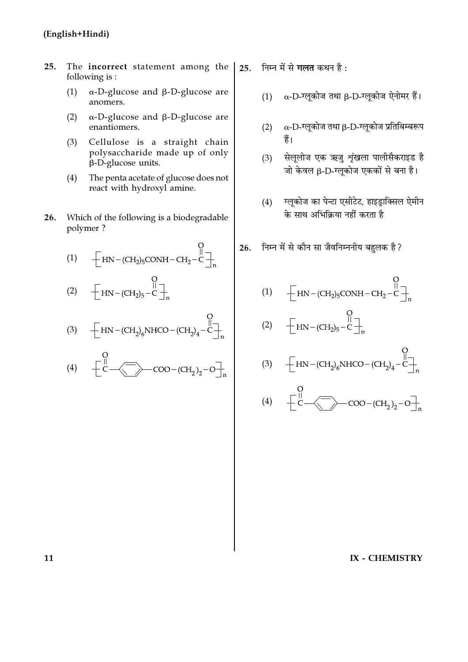- The incorrect statement among the  $25.$ following is:
	- $\alpha$ -D-glucose and  $\beta$ -D-glucose are  $(1)$ anomers.
	- $\alpha$ -D-glucose and  $\beta$ -D-glucose are  $(2)$ enantiomers.
	- $(3)$ Cellulose is a straight chain polysaccharide made up of only  $\beta$ -D-glucose units.
	- $(4)$ The penta acetate of glucose does not react with hydroxyl amine.
- 26. Which of the following is a biodegradable polymer?

(1) 
$$
\begin{bmatrix} 0 & 0 \\ -HN - (CH_2)_5CONH - CH_2 - C \end{bmatrix}_n^0
$$

(2) 
$$
\begin{array}{cc} & & O \\ \hline \text{HN} - (\text{CH}_2)_5 - C \end{array}
$$

(3) 
$$
\left[\text{HN} - (\text{CH}_2)_6\text{NHCO} - (\text{CH}_2)_4 - \text{C}\right]_n
$$

 $\sim$ 

(4) 
$$
\left[\frac{1}{C} - \left(\frac{1}{C}\right) - COO - (CH_2)_2 - O\right]_n
$$

25. निम्न में से गलत कथन है:

- $\alpha$ -D-ग्लूकोज तथा β-D-ग्लूकोज ऐनोमर हैं।  $(1)$
- $\alpha$ -D-ग्लूकोज तथा β-D-ग्लूकोज प्रतिबिम्बरूप  $(2)$ हैं।
- सेलूलोज एक ऋजु शृंखला पालीसैकराइड है  $(3)$ जो केवल β-D-ग्लूकोज एककों से बना है।
- ग्लूकोज का पेन्टा एसीटेट, हाइड्राक्सिल ऐमीन  $(4)$ के साथ अभिक्रिया नहीं करता है
- 26. निम्न में से कौन सा जैवनिम्ननीय बहलक है?

(1) 
$$
+ \begin{bmatrix} 1 & 0 \\ -HN - (CH_2)_5 & COMH - CH_2 - C \end{bmatrix} \begin{bmatrix} 0 & 0 \\ 0 & -C \end{bmatrix}
$$

(2) 
$$
\begin{array}{cc} & 0 \\ \begin{array}{cc} & \begin{array}{cc} & 0 \\ \text{II} & \text{II} \end{array} \\ \text{HN} & -(CH_2)_5 - C \end{array} \end{array}
$$

 $\sim$ 

(3) 
$$
\left[\text{HN} - (\text{CH}_2)_6\text{NHCO} - (\text{CH}_2)_4 - \text{C}\right]_n^0
$$

(4) 
$$
\left[\frac{1}{C}\right]_{C}
$$
 = COO - (CH<sub>2</sub>)<sub>2</sub> - O $\frac{1}{n}$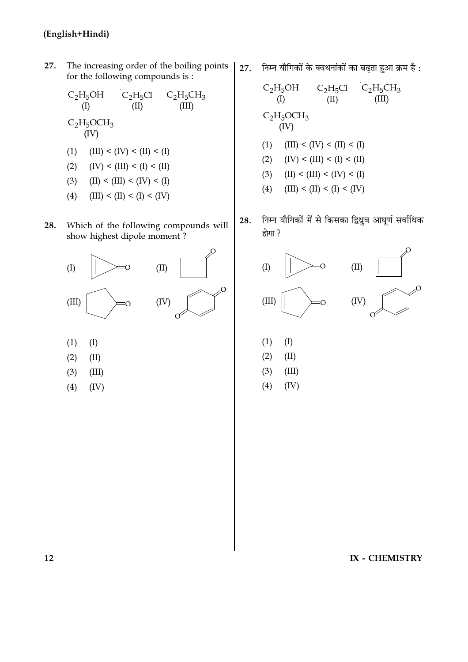The increasing order of the boiling points 27. for the following compounds is :

 $(2)$  $(IV) < (III) < (I) < (II)$ 

$$
(3) \hspace{0.4cm} \text{(II)} \leq \text{(III)} \leq \text{(IV)} \leq \text{(I)}
$$

- $(4)$  $(III) < (II) < (I) < (IV)$
- Which of the following compounds will 28. show highest dipole moment?



- $(1)$  $(I)$
- $(2)$  $(II)$
- $(3)$  $(III)$
- $(4)$  $(IV)$

27. निम्न यौगिकों के क्वथनांकों का बढ़ता हुआ क्रम है:

निम्न यौगिकों में से किसका द्विध्नुव आघूर्ण सर्वाधिक 28. होगा ?



- $(I)$  $(1)$
- $(2)$  $(II)$
- $(3)$  $(III)$
- $(4)$  $(IV)$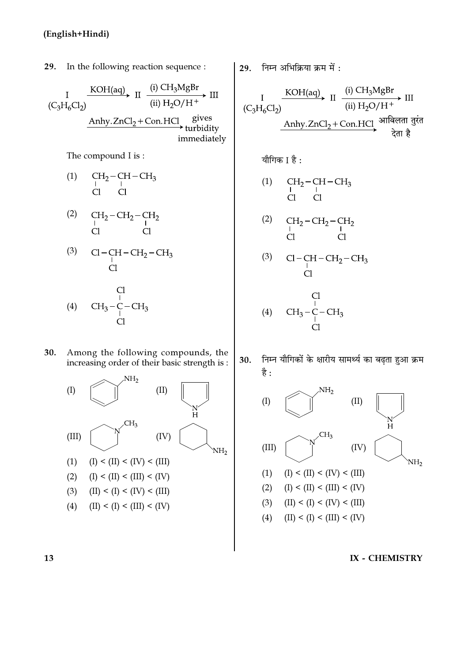29. In the following reaction sequence : KOH(aq) II  $\xrightarrow{(i) \text{CH}_3\text{M} \text{gBr}}$ <br>(ii) H<sub>2</sub>O/H<sup>+</sup>  $\blacktriangleright$  III  $\overline{I}$  $(C_3H_6Cl_2)$ gives Anhy.  $ZnCl<sub>2</sub> + Con.HCl$ turbidity immediately

The compound I is:

$$
\begin{array}{ccccc} \text{(1)} & \quad & \text{CH}_2-\text{CH}-\text{CH}_3 \\ \text{C} & \text{C} & \text{C} & \end{array}
$$

$$
\begin{array}{cc}\n\text{(2)} & \text{CH}_2-\text{CH}_2-\text{CH}_2 \\
\downarrow & \text{Cl} & \text{Cl}\n\end{array}
$$

$$
\begin{array}{cc}\n\text{(3)} & \text{Cl}-\text{CH}-\text{CH}_2-\text{CH}_3 \\
\text{Cl} & \text{Cl}\n\end{array}
$$

$$
\begin{array}{cc}\n & \text{Cl} \\
(4) & \text{CH}_3-\text{C}-\text{CH}_3 \\
 & \text{Cl} \\
 & \text{Cl}\n\end{array}
$$

30. Among the following compounds, the increasing order of their basic strength is:



29. 
$$
\overline{f} + \overline{f}
$$
  \n30.  $\overline{f}$   \n41.  $\overline{f}$   \n52.  $\overline{f}$   \n64.  $\overline{f}$   \n75.  $\overline{f}$   \n86.  $\overline{f}$   \n97.  $\overline{f}$   \n18.  $\overline{f}$   \n19.  $\overline{f}$   \n10.  $\overline{f}$   \n11.  $\overline{f}$   \n12.  $\overline{f}$   \n13.  $\overline{f}$   \n14.  $\overline{f}$   \n15.  $\overline{f}$   \n16.  $\overline{f}$   \n17.  $\overline{f}$   \n18.  $\overline{f}$   \n19.  $\overline{f}$   \n10.  $\overline{f}$   \n11.  $\overline{f}$   \n12.  $\overline{f}$   \n13.  $\overline{f}$   \n14.  $\overline{f}$   \n15.  $\overline{f}$   \n16.  $\overline{f}$   \n17.  $\overline{f}$   \n18.  $\overline{f}$   \n19.  $\overline{f}$   \n10.  $\overline{f}$   \n11.  $\overline{f}$   \n12.  $\overline{f}$   \n13.  $\overline{f}$   \n14.  $\overline{f}$   \n15.  $\overline{f}$   \n16.  $\overline{f}$   \n17.  $\overline{f}$   \n18.  $\overline{f}$   \n19.  $\overline{f}$   \n10.  $\overline{f}$   \n11.  $\overline{f}$   \n12.  $\overline{f}$   \n13.  $\overline{f}$   \n14.  $\overline{f$ 

निम्न यौगिकों के क्षारीय सामर्थ्य का बढता हुआ क्रम 30. है: